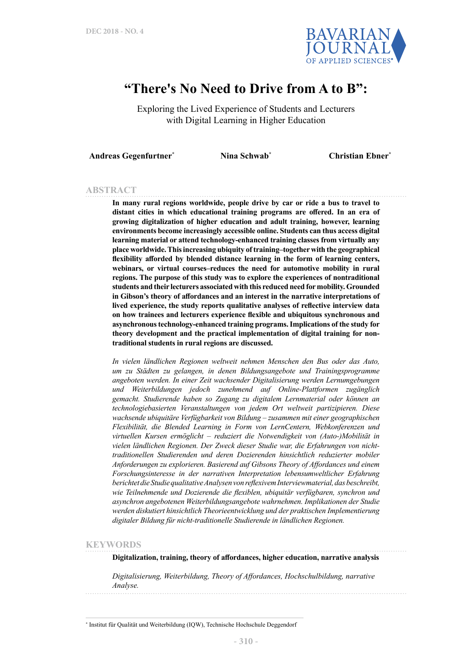

# **"There's No Need to Drive from A to B":**

Exploring the Lived Experience of Students and Lecturers with Digital Learning in Higher Education

**Andreas Gegenfurtner\* Nina Schwab\* Christian Ebner\***

#### **ABSTRACT**

**In many rural regions worldwide, people drive by car or ride a bus to travel to distant cities in which educational training programs are offered. In an era of growing digitalization of higher education and adult training, however, learning environments become increasingly accessible online. Students can thus access digital learning material or attend technology-enhanced training classes from virtually any place worldwide. This increasing ubiquity of training–together with the geographical flexibility afforded by blended distance learning in the form of learning centers, webinars, or virtual courses–reduces the need for automotive mobility in rural regions. The purpose of this study was to explore the experiences of nontraditional students and their lecturers associated with this reduced need for mobility. Grounded in Gibson's theory of affordances and an interest in the narrative interpretations of lived experience, the study reports qualitative analyses of reflective interview data on how trainees and lecturers experience flexible and ubiquitous synchronous and asynchronous technology-enhanced training programs. Implications of the study for theory development and the practical implementation of digital training for nontraditional students in rural regions are discussed.** 

*In vielen ländlichen Regionen weltweit nehmen Menschen den Bus oder das Auto, um zu Städten zu gelangen, in denen Bildungsangebote und Trainingsprogramme angeboten werden. In einer Zeit wachsender Digitalisierung werden Lernumgebungen und Weiterbildungen jedoch zunehmend auf Online-Plattformen zugänglich gemacht. Studierende haben so Zugang zu digitalem Lernmaterial oder können an technologiebasierten Veranstaltungen von jedem Ort weltweit partizipieren. Diese wachsende ubiquitäre Verfügbarkeit von Bildung ‒ zusammen mit einer geographischen Flexibilität, die Blended Learning in Form von LernCentern, Webkonferenzen und virtuellen Kursen ermöglicht ‒ reduziert die Notwendigkeit von (Auto-)Mobilität in vielen ländlichen Regionen. Der Zweck dieser Studie war, die Erfahrungen von nichttraditionellen Studierenden und deren Dozierenden hinsichtlich reduzierter mobiler Anforderungen zu explorieren. Basierend auf Gibsons Theory of Affordances und einem Forschungsinteresse in der narrativen Interpretation lebensumweltlicher Erfahrung berichtet die Studie qualitative Analysen von reflexivem Interviewmaterial, das beschreibt, wie Teilnehmende und Dozierende die flexiblen, ubiquitär verfügbaren, synchron und asynchron angebotenen Weiterbildungsangebote wahrnehmen. Implikationen der Studie werden diskutiert hinsichtlich Theorieentwicklung und der praktischen Implementierung digitaler Bildung für nicht-traditionelle Studierende in ländlichen Regionen.*

#### **KEYWORDS**

**Digitalization, training, theory of affordances, higher education, narrative analysis**

*Digitalisierung, Weiterbildung, Theory of Affordances, Hochschulbildung, narrative Analyse.*

\* Institut für Qualität und Weiterbildung (IQW), Technische Hochschule Deggendorf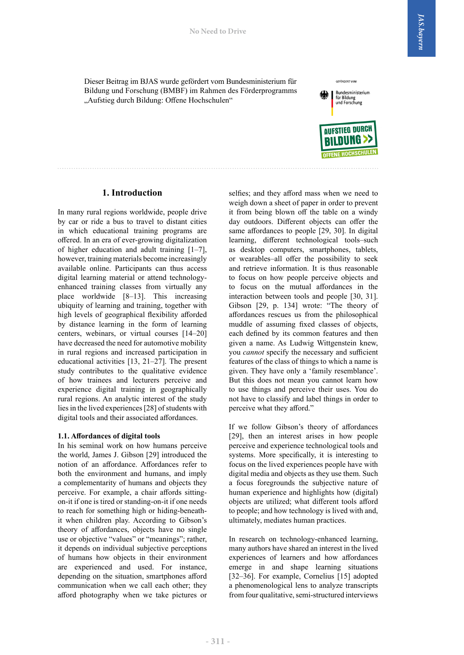Dieser Beitrag im BJAS wurde gefördert vom Bundesministerium für Bildung und Forschung (BMBF) im Rahmen des Förderprogramms "Aufstieg durch Bildung: Offene Hochschulen"



GEFÖRDERT VOM

# **1. Introduction**

In many rural regions worldwide, people drive by car or ride a bus to travel to distant cities in which educational training programs are offered. In an era of ever-growing digitalization of higher education and adult training [1‒7], however, training materials become increasingly available online. Participants can thus access digital learning material or attend technologyenhanced training classes from virtually any place worldwide [8–13]. This increasing ubiquity of learning and training, together with high levels of geographical flexibility afforded by distance learning in the form of learning centers, webinars, or virtual courses [14–20] have decreased the need for automotive mobility in rural regions and increased participation in educational activities [13, 21–27]. The present study contributes to the qualitative evidence of how trainees and lecturers perceive and experience digital training in geographically rural regions. An analytic interest of the study lies in the lived experiences [28] of students with digital tools and their associated affordances.

#### **1.1. Affordances of digital tools**

In his seminal work on how humans perceive the world, James J. Gibson [29] introduced the notion of an affordance. Affordances refer to both the environment and humans, and imply a complementarity of humans and objects they perceive. For example, a chair affords sittingon-it if one is tired or standing-on-it if one needs to reach for something high or hiding-beneathit when children play. According to Gibson's theory of affordances, objects have no single use or objective "values" or "meanings"; rather, it depends on individual subjective perceptions of humans how objects in their environment are experienced and used. For instance, depending on the situation, smartphones afford communication when we call each other; they afford photography when we take pictures or

selfies; and they afford mass when we need to weigh down a sheet of paper in order to prevent it from being blown off the table on a windy day outdoors. Different objects can offer the same affordances to people [29, 30]. In digital learning, different technological tools–such as desktop computers, smartphones, tablets, or wearables–all offer the possibility to seek and retrieve information. It is thus reasonable to focus on how people perceive objects and to focus on the mutual affordances in the interaction between tools and people [30, 31]. Gibson [29, p. 134] wrote: "The theory of affordances rescues us from the philosophical muddle of assuming fixed classes of objects, each defined by its common features and then given a name. As Ludwig Wittgenstein knew, you *cannot* specify the necessary and sufficient features of the class of things to which a name is given. They have only a 'family resemblance'. But this does not mean you cannot learn how to use things and perceive their uses. You do not have to classify and label things in order to perceive what they afford."

If we follow Gibson's theory of affordances [29], then an interest arises in how people perceive and experience technological tools and systems. More specifically, it is interesting to focus on the lived experiences people have with digital media and objects as they use them. Such a focus foregrounds the subjective nature of human experience and highlights how (digital) objects are utilized; what different tools afford to people; and how technology is lived with and, ultimately, mediates human practices.

In research on technology-enhanced learning, many authors have shared an interest in the lived experiences of learners and how affordances emerge in and shape learning situations [32–36]. For example, Cornelius [15] adopted a phenomenological lens to analyze transcripts from four qualitative, semi-structured interviews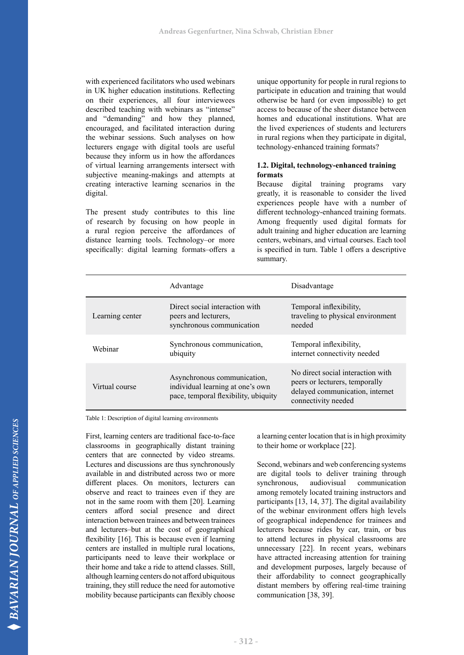with experienced facilitators who used webinars in UK higher education institutions. Reflecting on their experiences, all four interviewees described teaching with webinars as "intense" and "demanding" and how they planned, encouraged, and facilitated interaction during the webinar sessions. Such analyses on how lecturers engage with digital tools are useful because they inform us in how the affordances of virtual learning arrangements intersect with subjective meaning-makings and attempts at creating interactive learning scenarios in the digital.

The present study contributes to this line of research by focusing on how people in a rural region perceive the affordances of distance learning tools. Technology–or more specifically: digital learning formats–offers a unique opportunity for people in rural regions to participate in education and training that would otherwise be hard (or even impossible) to get access to because of the sheer distance between homes and educational institutions. What are the lived experiences of students and lecturers in rural regions when they participate in digital, technology-enhanced training formats?

# **1.2. Digital, technology-enhanced training formats**

Because digital training programs vary greatly, it is reasonable to consider the lived experiences people have with a number of different technology-enhanced training formats. Among frequently used digital formats for adult training and higher education are learning centers, webinars, and virtual courses. Each tool is specified in turn. Table 1 offers a descriptive summary.

|                 | Advantage                                                                                               | Disadvantage                                                                                                                  |
|-----------------|---------------------------------------------------------------------------------------------------------|-------------------------------------------------------------------------------------------------------------------------------|
| Learning center | Direct social interaction with<br>peers and lecturers,<br>synchronous communication                     | Temporal inflexibility,<br>traveling to physical environment<br>needed                                                        |
| Webinar         | Synchronous communication,<br>ubiquity                                                                  | Temporal inflexibility,<br>internet connectivity needed                                                                       |
| Virtual course  | Asynchronous communication,<br>individual learning at one's own<br>pace, temporal flexibility, ubiquity | No direct social interaction with<br>peers or lecturers, temporally<br>delayed communication, internet<br>connectivity needed |

Table 1: Description of digital learning environments

First, learning centers are traditional face-to-face classrooms in geographically distant training centers that are connected by video streams. Lectures and discussions are thus synchronously available in and distributed across two or more different places. On monitors, lecturers can observe and react to trainees even if they are not in the same room with them [20]. Learning centers afford social presence and direct interaction between trainees and between trainees and lecturers–but at the cost of geographical flexibility [16]. This is because even if learning centers are installed in multiple rural locations, participants need to leave their workplace or their home and take a ride to attend classes. Still, although learning centers do not afford ubiquitous training, they still reduce the need for automotive mobility because participants can flexibly choose

a learning center location that is in high proximity to their home or workplace [22].

Second, webinars and web conferencing systems are digital tools to deliver training through synchronous, audiovisual communication among remotely located training instructors and participants [13, 14, 37]. The digital availability of the webinar environment offers high levels of geographical independence for trainees and lecturers because rides by car, train, or bus to attend lectures in physical classrooms are unnecessary [22]. In recent years, webinars have attracted increasing attention for training and development purposes, largely because of their affordability to connect geographically distant members by offering real-time training communication [38, 39].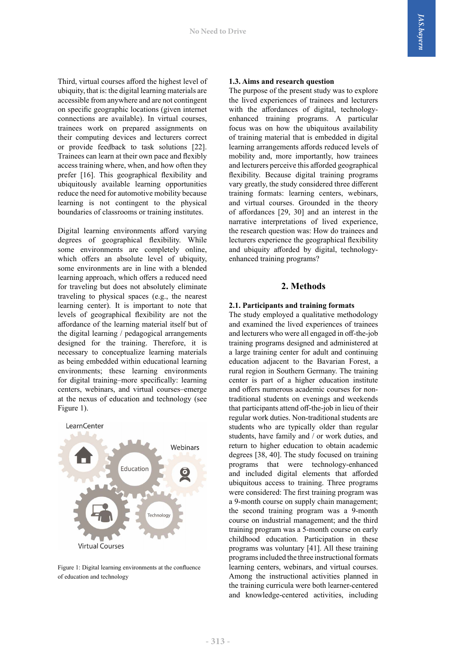Third, virtual courses afford the highest level of ubiquity, that is: the digital learning materials are accessible from anywhere and are not contingent on specific geographic locations (given internet connections are available). In virtual courses, trainees work on prepared assignments on their computing devices and lecturers correct or provide feedback to task solutions [22]. Trainees can learn at their own pace and flexibly access training where, when, and how often they prefer [16]. This geographical flexibility and ubiquitously available learning opportunities reduce the need for automotive mobility because learning is not contingent to the physical boundaries of classrooms or training institutes.

Digital learning environments afford varying degrees of geographical flexibility. While some environments are completely online, which offers an absolute level of ubiquity, some environments are in line with a blended learning approach, which offers a reduced need for traveling but does not absolutely eliminate traveling to physical spaces (e.g., the nearest learning center). It is important to note that levels of geographical flexibility are not the affordance of the learning material itself but of the digital learning / pedagogical arrangements designed for the training. Therefore, it is necessary to conceptualize learning materials as being embedded within educational learning environments; these learning environments for digital training–more specifically: learning centers, webinars, and virtual courses–emerge at the nexus of education and technology (see Figure 1).



Figure 1: Digital learning environments at the confluence of education and technology

#### **1.3. Aims and research question**

The purpose of the present study was to explore the lived experiences of trainees and lecturers with the affordances of digital, technologyenhanced training programs. A particular focus was on how the ubiquitous availability of training material that is embedded in digital learning arrangements affords reduced levels of mobility and, more importantly, how trainees and lecturers perceive this afforded geographical flexibility. Because digital training programs vary greatly, the study considered three different training formats: learning centers, webinars, and virtual courses. Grounded in the theory of affordances [29, 30] and an interest in the narrative interpretations of lived experience, the research question was: How do trainees and lecturers experience the geographical flexibility and ubiquity afforded by digital, technologyenhanced training programs?

# **2. Methods**

#### **2.1. Participants and training formats**

The study employed a qualitative methodology and examined the lived experiences of trainees and lecturers who were all engaged in off-the-job training programs designed and administered at a large training center for adult and continuing education adjacent to the Bavarian Forest, a rural region in Southern Germany. The training center is part of a higher education institute and offers numerous academic courses for nontraditional students on evenings and weekends that participants attend off-the-job in lieu of their regular work duties. Non-traditional students are students who are typically older than regular students, have family and / or work duties, and return to higher education to obtain academic degrees [38, 40]. The study focused on training programs that were technology-enhanced and included digital elements that afforded ubiquitous access to training. Three programs were considered: The first training program was a 9-month course on supply chain management; the second training program was a 9-month course on industrial management; and the third training program was a 5-month course on early childhood education. Participation in these programs was voluntary [41]. All these training programs included the three instructional formats learning centers, webinars, and virtual courses. Among the instructional activities planned in the training curricula were both learner-centered and knowledge-centered activities, including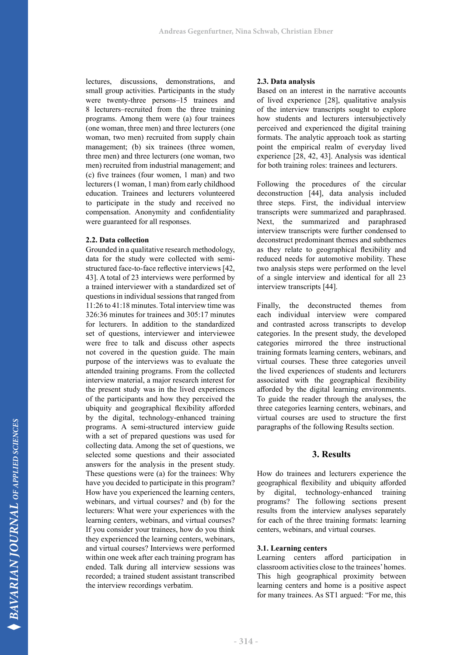lectures, discussions, demonstrations, and small group activities. Participants in the study were twenty-three persons–15 trainees and 8 lecturers–recruited from the three training programs. Among them were (a) four trainees (one woman, three men) and three lecturers (one woman, two men) recruited from supply chain management; (b) six trainees (three women, three men) and three lecturers (one woman, two men) recruited from industrial management; and (c) five trainees (four women, 1 man) and two lecturers (1 woman, 1 man) from early childhood education. Trainees and lecturers volunteered to participate in the study and received no compensation. Anonymity and confidentiality were guaranteed for all responses.

#### **2.2. Data collection**

Grounded in a qualitative research methodology, data for the study were collected with semistructured face-to-face reflective interviews [42, 43]. A total of 23 interviews were performed by a trained interviewer with a standardized set of questions in individual sessions that ranged from 11:26 to 41:18 minutes. Total interview time was 326:36 minutes for trainees and 305:17 minutes for lecturers. In addition to the standardized set of questions, interviewer and interviewee were free to talk and discuss other aspects not covered in the question guide. The main purpose of the interviews was to evaluate the attended training programs. From the collected interview material, a major research interest for the present study was in the lived experiences of the participants and how they perceived the ubiquity and geographical flexibility afforded by the digital, technology-enhanced training programs. A semi-structured interview guide with a set of prepared questions was used for collecting data. Among the set of questions, we selected some questions and their associated answers for the analysis in the present study. These questions were (a) for the trainees: Why have you decided to participate in this program? How have you experienced the learning centers, webinars, and virtual courses? and (b) for the lecturers: What were your experiences with the learning centers, webinars, and virtual courses? If you consider your trainees, how do you think they experienced the learning centers, webinars, and virtual courses? Interviews were performed within one week after each training program has ended. Talk during all interview sessions was recorded; a trained student assistant transcribed the interview recordings verbatim.

# **2.3. Data analysis**

Based on an interest in the narrative accounts of lived experience [28], qualitative analysis of the interview transcripts sought to explore how students and lecturers intersubjectively perceived and experienced the digital training formats. The analytic approach took as starting point the empirical realm of everyday lived experience [28, 42, 43]. Analysis was identical for both training roles: trainees and lecturers.

Following the procedures of the circular deconstruction [44], data analysis included three steps. First, the individual interview transcripts were summarized and paraphrased. Next, the summarized and paraphrased interview transcripts were further condensed to deconstruct predominant themes and subthemes as they relate to geographical flexibility and reduced needs for automotive mobility. These two analysis steps were performed on the level of a single interview and identical for all 23 interview transcripts [44].

Finally, the deconstructed themes from each individual interview were compared and contrasted across transcripts to develop categories. In the present study, the developed categories mirrored the three instructional training formats learning centers, webinars, and virtual courses. These three categories unveil the lived experiences of students and lecturers associated with the geographical flexibility afforded by the digital learning environments. To guide the reader through the analyses, the three categories learning centers, webinars, and virtual courses are used to structure the first paragraphs of the following Results section.

# **3. Results**

How do trainees and lecturers experience the geographical flexibility and ubiquity afforded by digital, technology-enhanced training programs? The following sections present results from the interview analyses separately for each of the three training formats: learning centers, webinars, and virtual courses.

# **3.1. Learning centers**

Learning centers afford participation in classroom activities close to the trainees' homes. This high geographical proximity between learning centers and home is a positive aspect for many trainees. As ST1 argued: "For me, this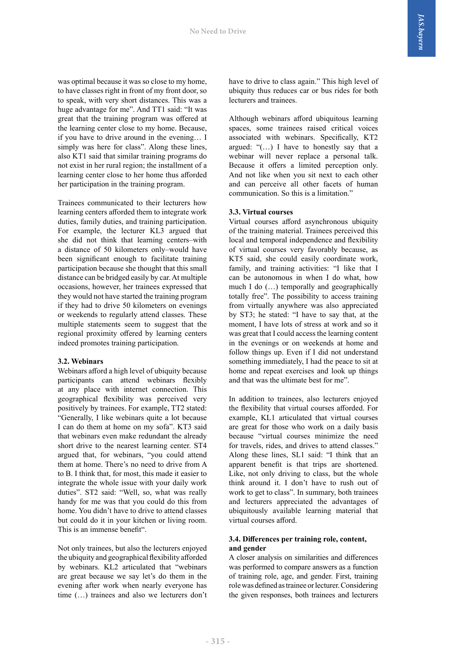was optimal because it was so close to my home, to have classes right in front of my front door, so to speak, with very short distances. This was a huge advantage for me". And TT1 said: "It was great that the training program was offered at the learning center close to my home. Because, if you have to drive around in the evening… I simply was here for class". Along these lines, also KT1 said that similar training programs do not exist in her rural region; the installment of a learning center close to her home thus afforded her participation in the training program.

Trainees communicated to their lecturers how learning centers afforded them to integrate work duties, family duties, and training participation. For example, the lecturer KL3 argued that she did not think that learning centers–with a distance of 50 kilometers only–would have been significant enough to facilitate training participation because she thought that this small distance can be bridged easily by car. At multiple occasions, however, her trainees expressed that they would not have started the training program if they had to drive 50 kilometers on evenings or weekends to regularly attend classes. These multiple statements seem to suggest that the regional proximity offered by learning centers indeed promotes training participation.

#### **3.2. Webinars**

Webinars afford a high level of ubiquity because participants can attend webinars flexibly at any place with internet connection. This geographical flexibility was perceived very positively by trainees. For example, TT2 stated: "Generally, I like webinars quite a lot because I can do them at home on my sofa". KT3 said that webinars even make redundant the already short drive to the nearest learning center. ST4 argued that, for webinars, "you could attend them at home. There's no need to drive from A to B. I think that, for most, this made it easier to integrate the whole issue with your daily work duties". ST2 said: "Well, so, what was really handy for me was that you could do this from home. You didn't have to drive to attend classes but could do it in your kitchen or living room. This is an immense benefit".

Not only trainees, but also the lecturers enjoyed the ubiquity and geographical flexibility afforded by webinars. KL2 articulated that "webinars are great because we say let's do them in the evening after work when nearly everyone has time (…) trainees and also we lecturers don't

have to drive to class again." This high level of ubiquity thus reduces car or bus rides for both lecturers and trainees.

Although webinars afford ubiquitous learning spaces, some trainees raised critical voices associated with webinars. Specifically, KT2 argued: " $(...)$  I have to honestly say that a webinar will never replace a personal talk. Because it offers a limited perception only. And not like when you sit next to each other and can perceive all other facets of human communication. So this is a limitation."

# **3.3. Virtual courses**

Virtual courses afford asynchronous ubiquity of the training material. Trainees perceived this local and temporal independence and flexibility of virtual courses very favorably because, as KT5 said, she could easily coordinate work, family, and training activities: "I like that I can be autonomous in when I do what, how much I do (…) temporally and geographically totally free". The possibility to access training from virtually anywhere was also appreciated by ST3; he stated: "I have to say that, at the moment, I have lots of stress at work and so it was great that I could access the learning content in the evenings or on weekends at home and follow things up. Even if I did not understand something immediately, I had the peace to sit at home and repeat exercises and look up things and that was the ultimate best for me".

In addition to trainees, also lecturers enjoyed the flexibility that virtual courses afforded. For example, KL1 articulated that virtual courses are great for those who work on a daily basis because "virtual courses minimize the need for travels, rides, and drives to attend classes." Along these lines, SL1 said: "I think that an apparent benefit is that trips are shortened. Like, not only driving to class, but the whole think around it. I don't have to rush out of work to get to class". In summary, both trainees and lecturers appreciated the advantages of ubiquitously available learning material that virtual courses afford.

# **3.4. Differences per training role, content, and gender**

A closer analysis on similarities and differences was performed to compare answers as a function of training role, age, and gender. First, training role was defined as trainee or lecturer. Considering the given responses, both trainees and lecturers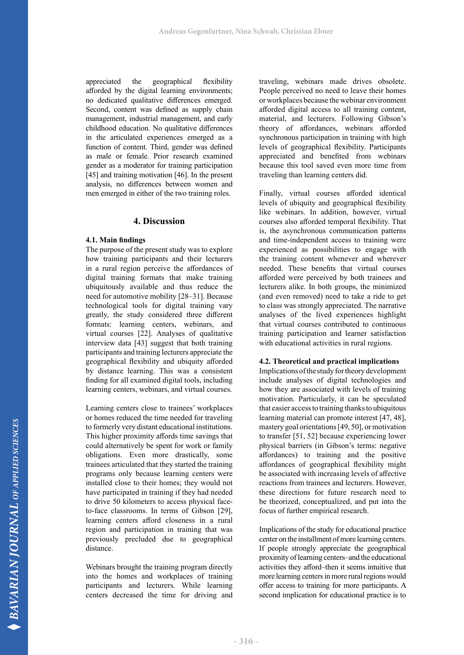appreciated the geographical flexibility afforded by the digital learning environments; no dedicated qualitative differences emerged. Second, content was defined as supply chain management, industrial management, and early childhood education. No qualitative differences in the articulated experiences emerged as a function of content. Third, gender was defined as male or female. Prior research examined gender as a moderator for training participation [45] and training motivation [46]. In the present analysis, no differences between women and men emerged in either of the two training roles.

# **4. Discussion**

#### **4.1. Main findings**

The purpose of the present study was to explore how training participants and their lecturers in a rural region perceive the affordances of digital training formats that make training ubiquitously available and thus reduce the need for automotive mobility [28‒31]. Because technological tools for digital training vary greatly, the study considered three different formats: learning centers, webinars, and virtual courses [22]. Analyses of qualitative interview data [43] suggest that both training participants and training lecturers appreciate the geographical flexibility and ubiquity afforded by distance learning. This was a consistent finding for all examined digital tools, including learning centers, webinars, and virtual courses.

Learning centers close to trainees' workplaces or homes reduced the time needed for traveling to formerly very distant educational institutions. This higher proximity affords time savings that could alternatively be spent for work or family obligations. Even more drastically, some trainees articulated that they started the training programs only because learning centers were installed close to their homes; they would not have participated in training if they had needed to drive 50 kilometers to access physical faceto-face classrooms. In terms of Gibson [29], learning centers afford closeness in a rural region and participation in training that was previously precluded due to geographical distance.

Webinars brought the training program directly into the homes and workplaces of training participants and lecturers. While learning centers decreased the time for driving and traveling, webinars made drives obsolete. People perceived no need to leave their homes or workplaces because the webinar environment afforded digital access to all training content, material, and lecturers. Following Gibson's theory of affordances, webinars afforded synchronous participation in training with high levels of geographical flexibility. Participants appreciated and benefited from webinars because this tool saved even more time from traveling than learning centers did.

Finally, virtual courses afforded identical levels of ubiquity and geographical flexibility like webinars. In addition, however, virtual courses also afforded temporal flexibility. That is, the asynchronous communication patterns and time-independent access to training were experienced as possibilities to engage with the training content whenever and wherever needed. These benefits that virtual courses afforded were perceived by both trainees and lecturers alike. In both groups, the minimized (and even removed) need to take a ride to get to class was strongly appreciated. The narrative analyses of the lived experiences highlight that virtual courses contributed to continuous training participation and learner satisfaction with educational activities in rural regions.

#### **4.2. Theoretical and practical implications**

Implications of the study for theory development include analyses of digital technologies and how they are associated with levels of training motivation. Particularly, it can be speculated that easier access to training thanks to ubiquitous learning material can promote interest [47, 48], mastery goal orientations [49, 50], or motivation to transfer [51, 52] because experiencing lower physical barriers (in Gibson's terms: negative affordances) to training and the positive affordances of geographical flexibility might be associated with increasing levels of affective reactions from trainees and lecturers. However, these directions for future research need to be theorized, conceptualized, and put into the focus of further empirical research.

Implications of the study for educational practice center on the installment of more learning centers. If people strongly appreciate the geographical proximity of learning centers–and the educational activities they afford–then it seems intuitive that more learning centers in more rural regions would offer access to training for more participants. A second implication for educational practice is to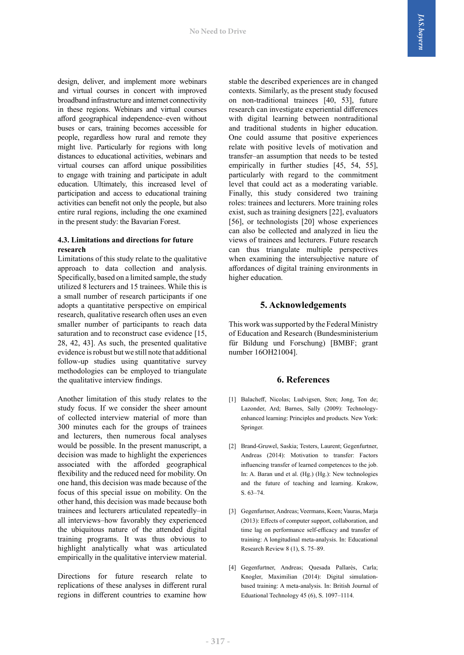design, deliver, and implement more webinars and virtual courses in concert with improved broadband infrastructure and internet connectivity in these regions. Webinars and virtual courses afford geographical independence–even without buses or cars, training becomes accessible for people, regardless how rural and remote they might live. Particularly for regions with long distances to educational activities, webinars and virtual courses can afford unique possibilities to engage with training and participate in adult education. Ultimately, this increased level of participation and access to educational training activities can benefit not only the people, but also entire rural regions, including the one examined in the present study: the Bavarian Forest.

#### **4.3. Limitations and directions for future research**

Limitations of this study relate to the qualitative approach to data collection and analysis. Specifically, based on a limited sample, the study utilized 8 lecturers and 15 trainees. While this is a small number of research participants if one adopts a quantitative perspective on empirical research, qualitative research often uses an even smaller number of participants to reach data saturation and to reconstruct case evidence [15, 28, 42, 43]. As such, the presented qualitative evidence is robust but we still note that additional follow-up studies using quantitative survey methodologies can be employed to triangulate the qualitative interview findings.

Another limitation of this study relates to the study focus. If we consider the sheer amount of collected interview material of more than 300 minutes each for the groups of trainees and lecturers, then numerous focal analyses would be possible. In the present manuscript, a decision was made to highlight the experiences associated with the afforded geographical flexibility and the reduced need for mobility. On one hand, this decision was made because of the focus of this special issue on mobility. On the other hand, this decision was made because both trainees and lecturers articulated repeatedly–in all interviews–how favorably they experienced the ubiquitous nature of the attended digital training programs. It was thus obvious to highlight analytically what was articulated empirically in the qualitative interview material.

Directions for future research relate to replications of these analyses in different rural regions in different countries to examine how stable the described experiences are in changed contexts. Similarly, as the present study focused on non-traditional trainees [40, 53], future research can investigate experiential differences with digital learning between nontraditional and traditional students in higher education. One could assume that positive experiences relate with positive levels of motivation and transfer–an assumption that needs to be tested empirically in further studies [45, 54, 55], particularly with regard to the commitment level that could act as a moderating variable. Finally, this study considered two training roles: trainees and lecturers. More training roles exist, such as training designers [22], evaluators [56], or technologists [20] whose experiences can also be collected and analyzed in lieu the views of trainees and lecturers. Future research can thus triangulate multiple perspectives when examining the intersubjective nature of affordances of digital training environments in higher education.

# **5. Acknowledgements**

This work was supported by the Federal Ministry of Education and Research (Bundesministerium für Bildung und Forschung) [BMBF; grant number 16OH21004].

# **6. References**

- [1] Balacheff, Nicolas; Ludvigsen, Sten; Jong, Ton de; Lazonder, Ard; Barnes, Sally (2009): Technologyenhanced learning: Principles and products. New York: Springer.
- [2] Brand-Gruwel, Saskia; Testers, Laurent; Gegenfurtner, Andreas (2014): Motivation to transfer: Factors influencing transfer of learned competences to the job. In: A. Baran und et al. (Hg.) (Hg.): New technologies and the future of teaching and learning. Krakow, S. 63–74.
- [3] Gegenfurtner, Andreas; Veermans, Koen; Vauras, Marja (2013): Effects of computer support, collaboration, and time lag on performance self-efficacy and transfer of training: A longitudinal meta-analysis. In: Educational Research Review 8 (1), S. 75–89.
- [4] Gegenfurtner, Andreas; Quesada Pallarès, Carla; Knogler, Maximilian (2014): Digital simulationbased training: A meta-analysis. In: British Journal of Eduational Technology 45 (6), S. 1097–1114.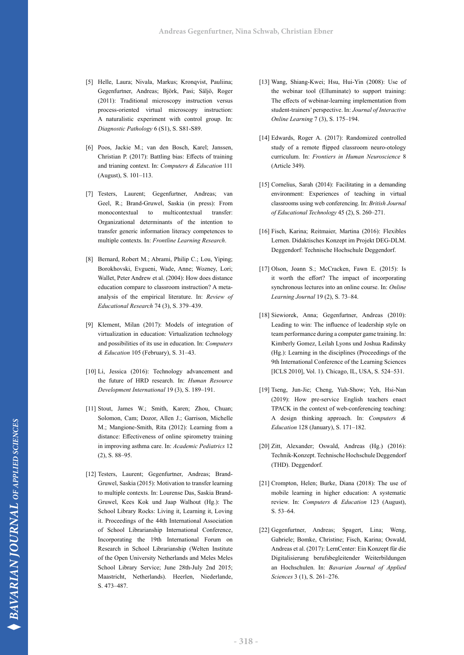- [5] Helle, Laura; Nivala, Markus; Kronqvist, Pauliina; Gegenfurtner, Andreas; Björk, Pasi; Säljö, Roger (2011): Traditional microscopy instruction versus process-oriented virtual microscopy instruction: A naturalistic experiment with control group. In: *Diagnostic Pathology* 6 (S1), S. S81-S89.
- [6] Poos, Jackie M.; van den Bosch, Karel; Janssen, Christian P. (2017): Battling bias: Effects of training and trianing context. In: *Computers & Education* 111 (August), S. 101–113.
- [7] Testers, Laurent; Gegenfurtner, Andreas; van Geel, R.; Brand-Gruwel, Saskia (in press): From monocontextual to multicontextual transfer: Organizational determinants of the intention to transfer generic information literacy competences to multiple contexts. In: *Frontline Learning Research*.
- [8] Bernard, Robert M.; Abrami, Philip C.; Lou, Yiping; Borokhovski, Evgueni, Wade, Anne; Wozney, Lori; Wallet, Peter Andrew et al. (2004): How does distance education compare to classroom instruction? A metaanalysis of the empirical literature. In: *Review of Educational Research* 74 (3), S. 379–439.
- [9] Klement, Milan (2017): Models of integration of virtualization in education: Virtualization technology and possibilities of its use in education. In: *Computers & Education* 105 (February), S. 31–43.
- [10] Li, Jessica (2016): Technology advancement and the future of HRD research. In: *Human Resource Development International* 19 (3), S. 189–191.
- [11] Stout, James W.; Smith, Karen; Zhou, Chuan; Solomon, Cam; Dozor, Allen J.; Garrison, Michelle M.; Mangione-Smith, Rita (2012): Learning from a distance: Effectiveness of online spirometry training in improving asthma care. In: *Academic Pediatrics* 12 (2), S. 88–95.
- [12] Testers, Laurent; Gegenfurtner, Andreas; Brand-Gruwel, Saskia (2015): Motivation to transfer learning to multiple contexts. In: Lourense Das, Saskia Brand-Gruwel, Kees Kok und Jaap Walhout (Hg.): The School Library Rocks: Living it, Learning it, Loving it. Proceedings of the 44th International Association of School Librarianship International Conference, Incorporating the 19th International Forum on Research in School Librarianship (Welten Institute of the Open University Netherlands and Meles Meles School Library Service; June 28th-July 2nd 2015; Maastricht, Netherlands). Heerlen, Niederlande, S. 473–487.
- [13] Wang, Shiang-Kwei; Hsu, Hui-Yin (2008): Use of the webinar tool (Elluminate) to support training: The effects of webinar-learning implementation from student-trainers' perspective. In: *Journal of Interactive Online Learning* 7 (3), S. 175–194.
- [14] Edwards, Roger A. (2017): Randomized controlled study of a remote flipped classroom neuro-otology curriculum. In: *Frontiers in Human Neuroscience* 8 (Article 349).
- [15] Cornelius, Sarah (2014): Facilitating in a demanding environment: Experiences of teaching in virtual classrooms using web conferencing. In: *British Journal of Educational Technology* 45 (2), S. 260–271.
- [16] Fisch, Karina; Reitmaier, Martina (2016): Flexibles Lernen. Didaktisches Konzept im Projekt DEG-DLM. Deggendorf: Technische Hochschule Deggendorf.
- [17] Olson, Joann S.; McCracken, Fawn E. (2015): Is it worth the effort? The impact of incorporating synchronous lectures into an online course. In: *Online Learning Journal* 19 (2), S. 73–84.
- [18] Siewiorek, Anna; Gegenfurtner, Andreas (2010): Leading to win: The influence of leadership style on team performance during a computer game training. In: Kimberly Gomez, Leilah Lyons und Joshua Radinsky (Hg.): Learning in the disciplines (Proceedings of the 9th International Conference of the Learning Sciences [ICLS 2010], Vol. 1). Chicago, IL, USA, S. 524–531.
- [19] Tseng, Jun-Jie; Cheng, Yuh-Show; Yeh, Hsi-Nan (2019): How pre-service English teachers enact TPACK in the context of web-conferencing teaching: A design thinking approach. In: *Computers & Education* 128 (January), S. 171–182.
- [20] Zitt, Alexander; Oswald, Andreas (Hg.) (2016): Technik-Konzept. Technische Hochschule Deggendorf (THD). Deggendorf.
- [21] Crompton, Helen; Burke, Diana (2018): The use of mobile learning in higher education: A systematic review. In: *Computers & Education* 123 (August), S. 53–64.
- [22] Gegenfurtner, Andreas; Spagert, Lina; Weng, Gabriele; Bomke, Christine; Fisch, Karina; Oswald, Andreas et al. (2017): LernCenter: Ein Konzept für die Digitalisierung berufsbegleitender Weiterbildungen an Hochschulen. In: *Bavarian Journal of Applied Sciences* 3 (1), S. 261–276.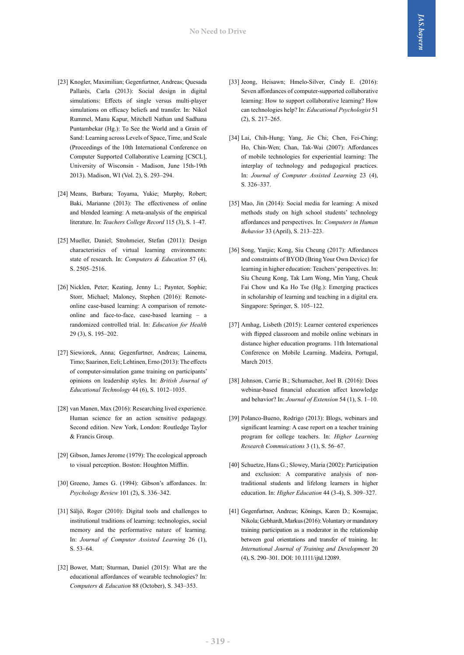- [23] Knogler, Maximilian; Gegenfurtner, Andreas; Quesada Pallarès, Carla (2013): Social design in digital simulations: Effects of single versus multi-player simulations on efficacy beliefs and transfer. In: Nikol Rummel, Manu Kapur, Mitchell Nathan und Sadhana Puntambekar (Hg.): To See the World and a Grain of Sand: Learning across Levels of Space, Time, and Scale (Proceedings of the 10th International Conference on Computer Supported Collaborative Learning [CSCL], University of Wisconsin - Madison, June 15th-19th 2013). Madison, WI (Vol. 2), S. 293–294.
- [24] Means, Barbara; Toyama, Yukie; Murphy, Robert; Baki, Marianne (2013): The effectiveness of online and blended learning: A meta-analysis of the empirical literature. In: *Teachers College Record* 115 (3), S. 1–47.
- [25] Mueller, Daniel; Strohmeier, Stefan (2011): Design characteristics of virtual learning environments: state of research. In: *Computers & Education* 57 (4), S. 2505–2516.
- [26] Nicklen, Peter; Keating, Jenny L.; Paynter, Sophie; Storr, Michael; Maloney, Stephen (2016): Remoteonline case-based learning: A comparison of remoteonline and face-to-face, case-based learning – a randomized controlled trial. In: *Education for Health*  29 (3), S. 195–202.
- [27] Siewiorek, Anna; Gegenfurtner, Andreas; Lainema, Timo; Saarinen, Eeli; Lehtinen, Erno (2013): The effects of computer-simulation game training on participants' opinions on leadership styles. In: *British Journal of Educational Technology* 44 (6), S. 1012–1035.
- [28] van Manen, Max (2016): Researching lived experience. Human science for an action sensitive pedagogy. Second edition. New York, London: Routledge Taylor & Francis Group.
- [29] Gibson, James Jerome (1979): The ecological approach to visual perception. Boston: Houghton Mifflin.
- [30] Greeno, James G. (1994): Gibson's affordances. In: *Psychology Review* 101 (2), S. 336–342.
- [31] Säljö, Roger (2010): Digital tools and challenges to institutional traditions of learning: technologies, social memory and the performative nature of learning. In: *Journal of Computer Assisted Learning* 26 (1), S. 53–64.
- [32] Bower, Matt; Sturman, Daniel (2015): What are the educational affordances of wearable technologies? In: *Computers & Education* 88 (October), S. 343–353.
- [33] Jeong, Heisawn; Hmelo-Silver, Cindy E. (2016): Seven affordances of computer-supported collaborative learning: How to support collaborative learning? How can technologies help? In: *Educational Psychologist* 51 (2), S. 217–265.
- [34] Lai, Chih-Hung; Yang, Jie Chi; Chen, Fei-Ching; Ho, Chin-Wen; Chan, Tak-Wai (2007): Affordances of mobile technologies for experiential learning: The interplay of technology and pedagogical practices. In: *Journal of Computer Assisted Learning* 23 (4), S. 326–337.
- [35] Mao, Jin (2014): Social media for learning: A mixed methods study on high school students' technology affordances and perspectives. In: *Computers in Human Behavior* 33 (April), S. 213–223.
- [36] Song, Yanjie; Kong, Siu Cheung (2017): Affordances and constraints of BYOD (Bring Your Own Device) for learning in higher education: Teachers' perspectives. In: Siu Cheung Kong, Tak Lam Wong, Min Yang, Cheuk Fai Chow und Ka Ho Tse (Hg.): Emerging practices in scholarship of learning and teaching in a digital era. Singapore: Springer, S. 105–122.
- [37] Amhag, Lisbeth (2015): Learner centered experiences with flipped classroom and mobile online webinars in distance higher education programs. 11th International Conference on Mobile Learning. Madeira, Portugal, March 2015.
- [38] Johnson, Carrie B.; Schumacher, Joel B. (2016): Does webinar-based financial education affect knowledge and behavior? In: *Journal of Extension* 54 (1), S. 1–10.
- [39] Polanco-Bueno, Rodrigo (2013): Blogs, webinars and significant learning: A case report on a teacher training program for college teachers. In: *Higher Learning Research Commuications* 3 (1), S. 56–67.
- [40] Schuetze, Hans G.; Slowey, Maria (2002): Participation and exclusion: A comparative analysis of nontraditional students and lifelong learners in higher education. In: *Higher Education* 44 (3-4), S. 309–327.
- [41] Gegenfurtner, Andreas; Könings, Karen D.; Kosmajac, Nikola; Gebhardt, Markus (2016): Voluntary or mandatory training participation as a moderator in the relationship between goal orientations and transfer of training. In: *International Journal of Training and Development* 20 (4), S. 290–301. DOI: 10.1111/ijtd.12089.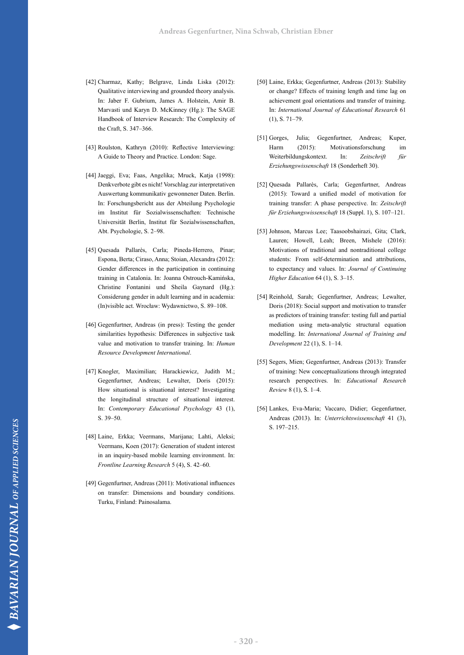- [42] Charmaz, Kathy; Belgrave, Linda Liska (2012): Qualitative interviewing and grounded theory analysis. In: Jaber F. Gubrium, James A. Holstein, Amir B. Marvasti und Karyn D. McKinney (Hg.): The SAGE Handbook of Interview Research: The Complexity of the Craft, S. 347–366.
- [43] Roulston, Kathryn (2010): Reflective Interviewing: A Guide to Theory and Practice. London: Sage.
- [44] Jaeggi, Eva; Faas, Angelika; Mruck, Katja (1998): Denkverbote gibt es nicht! Vorschlag zur interpretativen Auswertung kommunikativ gewonnener Daten. Berlin. In: Forschungsbericht aus der Abteilung Psychologie im Institut für Sozialwissenschaften: Technische Universität Berlin, Institut für Sozialwissenschaften, Abt. Psychologie, S. 2–98.
- [45] Quesada Pallarès, Carla; Pineda-Herrero, Pinar; Espona, Berta; Ciraso, Anna; Stoian, Alexandra (2012): Gender differences in the participation in continuing training in Catalonia. In: Joanna Ostrouch-Kamińska, Christine Fontanini und Sheila Gaynard (Hg.): Considerung gender in adult learning and in academia: (In)visible act. Wrocław: Wydawnictwo, S. 89–108.
- [46] Gegenfurtner, Andreas (in press): Testing the gender similarities hypothesis: Differences in subjective task value and motivation to transfer training. In: *Human Resource Development International*.
- [47] Knogler, Maximilian; Harackiewicz, Judith M.; Gegenfurtner, Andreas; Lewalter, Doris (2015): How situational is situational interest? Investigating the longitudinal structure of situational interest. In: *Contemporary Educational Psychology* 43 (1), S. 39–50.
- [48] Laine, Erkka; Veermans, Marijana; Lahti, Aleksi; Veermans, Koen (2017): Generation of student interest in an inquiry-based mobile learning environment. In: *Frontline Learning Research* 5 (4), S. 42–60.
- [49] Gegenfurtner, Andreas (2011): Motivational influences on transfer: Dimensions and boundary conditions. Turku, Finland: Painosalama.
- [50] Laine, Erkka; Gegenfurtner, Andreas (2013): Stability or change? Effects of training length and time lag on achievement goal orientations and transfer of training. In: *International Journal of Educational Research* 61 (1), S. 71–79.
- [51] Gorges, Julia; Gegenfurtner, Andreas; Kuper, Harm (2015): Motivationsforschung im Weiterbildungskontext. In: *Zeitschrift für Erziehungswissenschaft* 18 (Sonderheft 30).
- [52] Quesada Pallarès, Carla; Gegenfurtner, Andreas (2015): Toward a unified model of motivation for training transfer: A phase perspective. In: *Zeitschrift für Erziehungswissenschaft* 18 (Suppl. 1), S. 107–121.
- [53] Johnson, Marcus Lee; Taasoobshairazi, Gita; Clark, Lauren; Howell, Leah; Breen, Mishele (2016): Motivations of traditional and nontraditional college students: From self-determination and attributions, to expectancy and values. In: *Journal of Continuing Higher Education* 64 (1), S. 3–15.
- [54] Reinhold, Sarah; Gegenfurtner, Andreas; Lewalter, Doris (2018): Social support and motivation to transfer as predictors of training transfer: testing full and partial mediation using meta‐analytic structural equation modelling. In: *International Journal of Training and Development* 22 (1), S. 1–14.
- [55] Segers, Mien; Gegenfurtner, Andreas (2013): Transfer of training: New conceptualizations through integrated research perspectives. In: *Educational Research Review* 8 (1), S. 1–4.
- [56] Lankes, Eva-Maria; Vaccaro, Didier; Gegenfurtner, Andreas (2013). In: *Unterrichtswissenschaft* 41 (3), S. 197–215.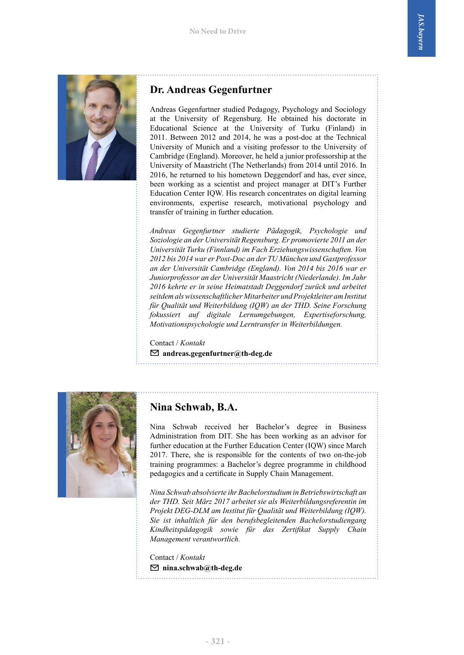

# **Dr. Andreas Gegenfurtner**

Andreas Gegenfurtner studied Pedagogy, Psychology and Sociology at the University of Regensburg. He obtained his doctorate in Educational Science at the University of Turku (Finland) in 2011. Between 2012 and 2014, he was a post-doc at the Technical University of Munich and a visiting professor to the University of Cambridge (England). Moreover, he held a junior professorship at the University of Maastricht (The Netherlands) from 2014 until 2016. In 2016, he returned to his hometown Deggendorf and has, ever since, been working as a scientist and project manager at DIT's Further Education Center IQW. His research concentrates on digital learning environments, expertise research, motivational psychology and transfer of training in further education.

*Andreas Gegenfurtner studierte Pädagogik, Psychologie und Soziologie an der Universität Regensburg. Er promovierte 2011 an der Universität Turku (Finnland) im Fach Erziehungswissenschaften. Von 2012 bis 2014 war er Post-Doc an der TU München und Gastprofessor an der Universität Cambridge (England). Von 2014 bis 2016 war er Juniorprofessor an der Universität Maastricht (Niederlande). Im Jahr 2016 kehrte er in seine Heimatstadt Deggendorf zurück und arbeitet seitdem als wissenschaftlicher Mitarbeiter und Projektleiter am Institut für Qualität und Weiterbildung (IQW) an der THD. Seine Forschung fokussiert auf digitale Lernumgebungen, Expertiseforschung, Motivationspsychologie und Lerntransfer in Weiterbildungen.*

Contact / *Kontakt* ✉ **andreas.gegenfurtner@th-deg.de**



# **Nina Schwab, B.A.**

Nina Schwab received her Bachelor's degree in Business Administration from DIT. She has been working as an advisor for further education at the Further Education Center (IQW) since March 2017. There, she is responsible for the contents of two on-the-job training programmes: a Bachelor's degree programme in childhood pedagogics and a certificate in Supply Chain Management.

*Nina Schwab absolvierte ihr Bachelorstudium in Betriebswirtschaft an der THD. Seit März 2017 arbeitet sie als Weiterbildungsreferentin im Projekt DEG-DLM am Institut für Qualität und Weiterbildung (IQW). Sie ist inhaltlich für den berufsbegleitenden Bachelorstudiengang Kindheitspädagogik sowie für das Zertifikat Supply Chain Management verantwortlich.* 

Contact / *Kontakt* ✉ **nina.schwab@th-deg.de**